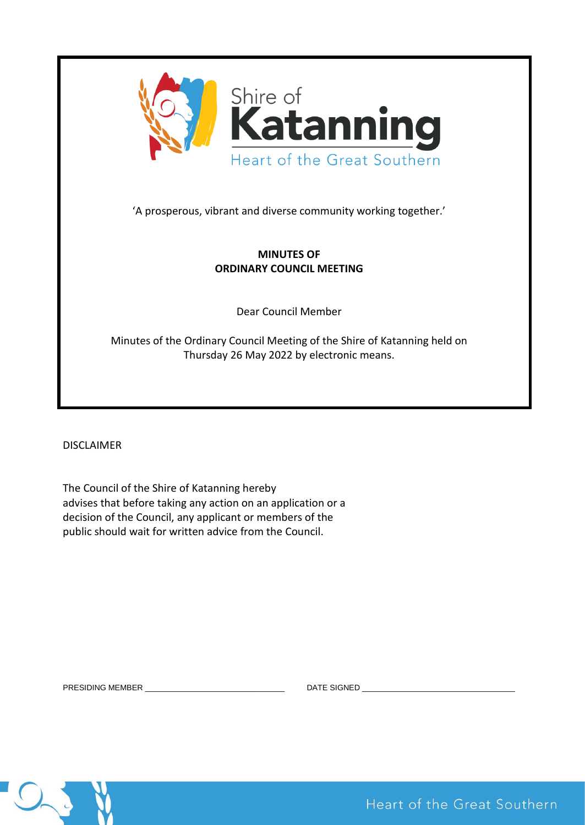

# **MINUTES OF ORDINARY COUNCIL MEETING**

Dear Council Member

Minutes of the Ordinary Council Meeting of the Shire of Katanning held on Thursday 26 May 2022 by electronic means.

DISCLAIMER

The Council of the Shire of Katanning hereby advises that before taking any action on an application or a decision of the Council, any applicant or members of the public should wait for written advice from the Council.

PRESIDING MEMBER \_\_\_\_\_\_\_\_\_\_\_\_\_\_\_\_\_\_\_\_\_\_\_\_\_\_\_\_\_\_\_\_ DATE SIGNED \_\_\_\_\_\_\_\_\_\_\_\_\_\_\_\_\_\_\_\_\_\_\_\_\_\_\_\_\_\_\_\_\_\_\_



Heart of the Great Southern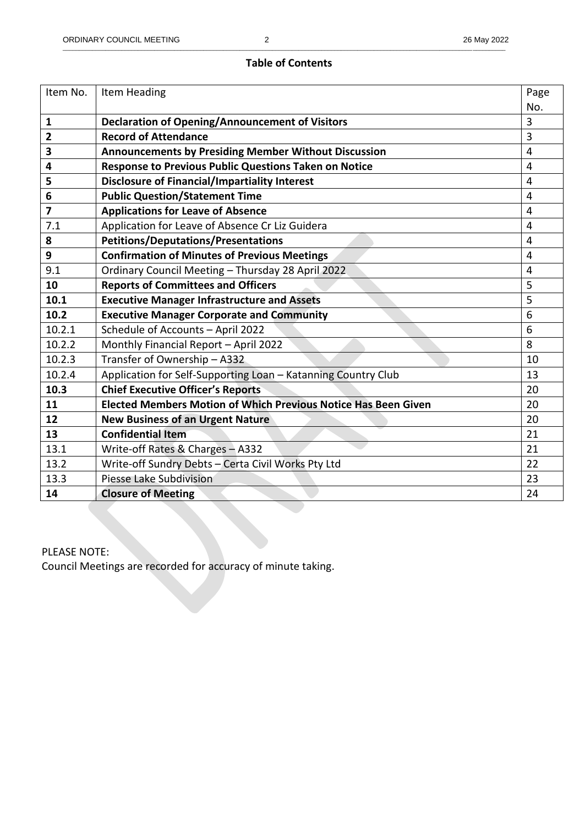## **Table of Contents**

| Item No. | Item Heading                                                          | Page           |
|----------|-----------------------------------------------------------------------|----------------|
|          |                                                                       | No.            |
| 1        | <b>Declaration of Opening/Announcement of Visitors</b>                | 3              |
| 2        | <b>Record of Attendance</b>                                           | $\overline{3}$ |
| 3        | <b>Announcements by Presiding Member Without Discussion</b>           | $\overline{4}$ |
| 4        | Response to Previous Public Questions Taken on Notice                 | $\overline{4}$ |
| 5        | <b>Disclosure of Financial/Impartiality Interest</b>                  | $\overline{4}$ |
| 6        | <b>Public Question/Statement Time</b>                                 | $\overline{4}$ |
| 7        | <b>Applications for Leave of Absence</b>                              | $\overline{4}$ |
| 7.1      | Application for Leave of Absence Cr Liz Guidera                       | $\overline{4}$ |
| 8        | <b>Petitions/Deputations/Presentations</b>                            | 4              |
| 9        | <b>Confirmation of Minutes of Previous Meetings</b>                   | $\overline{4}$ |
| 9.1      | Ordinary Council Meeting - Thursday 28 April 2022                     | $\overline{4}$ |
| 10       | <b>Reports of Committees and Officers</b>                             | 5              |
| 10.1     | <b>Executive Manager Infrastructure and Assets</b>                    | 5              |
| 10.2     | <b>Executive Manager Corporate and Community</b>                      | 6              |
| 10.2.1   | Schedule of Accounts - April 2022                                     | 6              |
| 10.2.2   | Monthly Financial Report - April 2022                                 | 8              |
| 10.2.3   | Transfer of Ownership - A332                                          | 10             |
| 10.2.4   | Application for Self-Supporting Loan - Katanning Country Club         | 13             |
| 10.3     | <b>Chief Executive Officer's Reports</b>                              | 20             |
| 11       | <b>Elected Members Motion of Which Previous Notice Has Been Given</b> | 20             |
| 12       | <b>New Business of an Urgent Nature</b>                               | 20             |
| 13       | <b>Confidential Item</b>                                              | 21             |
| 13.1     | Write-off Rates & Charges - A332                                      | 21             |
| 13.2     | Write-off Sundry Debts - Certa Civil Works Pty Ltd                    | 22             |
| 13.3     | Piesse Lake Subdivision                                               | 23             |
| 14       | <b>Closure of Meeting</b>                                             | 24             |

PLEASE NOTE:

Council Meetings are recorded for accuracy of minute taking.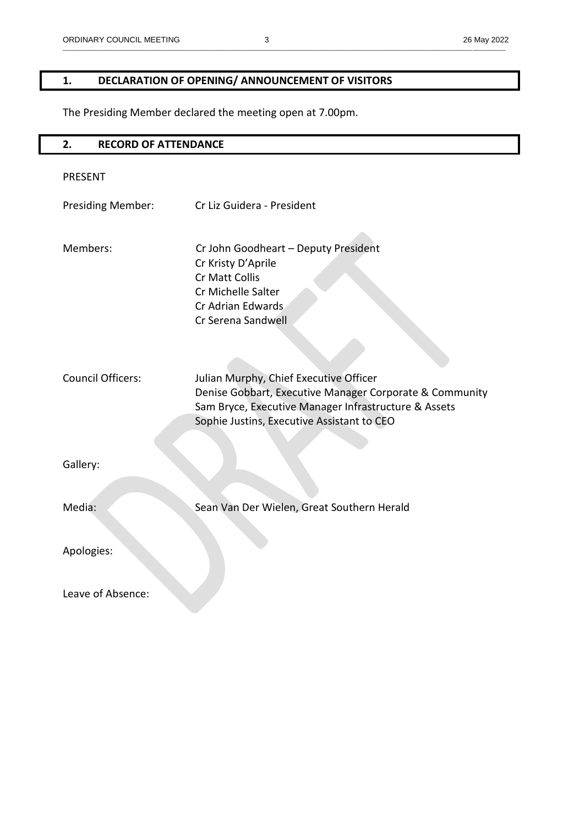# **1. DECLARATION OF OPENING/ ANNOUNCEMENT OF VISITORS**

The Presiding Member declared the meeting open at 7.00pm.

| <b>RECORD OF ATTENDANCE</b><br>2.    |                                                                                                                                                                                                                                                                                                                                                          |
|--------------------------------------|----------------------------------------------------------------------------------------------------------------------------------------------------------------------------------------------------------------------------------------------------------------------------------------------------------------------------------------------------------|
| <b>PRESENT</b>                       |                                                                                                                                                                                                                                                                                                                                                          |
| <b>Presiding Member:</b>             | Cr Liz Guidera - President                                                                                                                                                                                                                                                                                                                               |
| Members:<br><b>Council Officers:</b> | Cr John Goodheart - Deputy President<br>Cr Kristy D'Aprile<br>Cr Matt Collis<br>Cr Michelle Salter<br>Cr Adrian Edwards<br>Cr Serena Sandwell<br>Julian Murphy, Chief Executive Officer<br>Denise Gobbart, Executive Manager Corporate & Community<br>Sam Bryce, Executive Manager Infrastructure & Assets<br>Sophie Justins, Executive Assistant to CEO |
| Gallery:                             |                                                                                                                                                                                                                                                                                                                                                          |
| Media:                               | Sean Van Der Wielen, Great Southern Herald                                                                                                                                                                                                                                                                                                               |
| Apologies:                           |                                                                                                                                                                                                                                                                                                                                                          |
| Leave of Absence:                    |                                                                                                                                                                                                                                                                                                                                                          |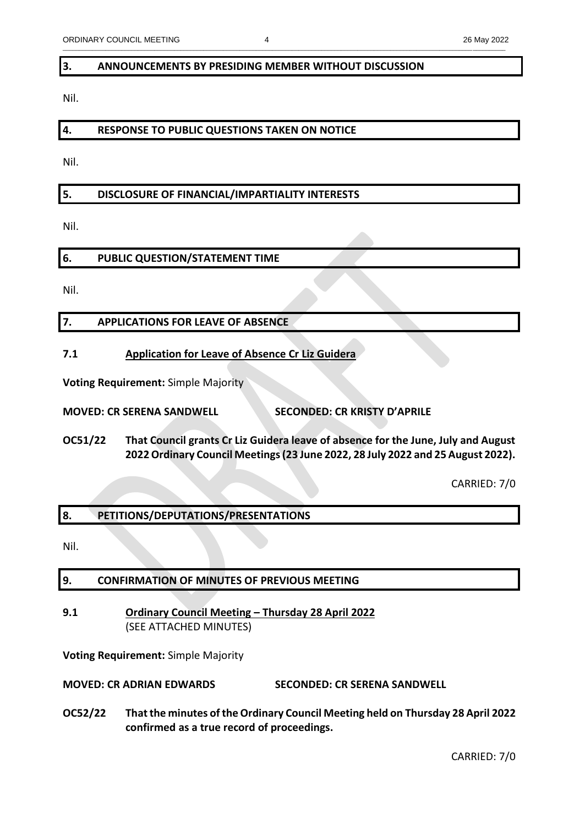\_\_\_\_\_\_\_\_\_\_\_\_\_\_\_\_\_\_\_\_\_\_\_\_\_\_\_\_\_\_\_\_\_\_\_\_\_\_\_\_\_\_\_\_\_\_\_\_\_\_\_\_\_\_\_\_\_\_\_\_\_\_\_\_\_\_\_\_\_\_\_\_\_\_\_\_\_\_\_\_\_\_\_\_\_\_\_\_\_\_\_\_\_\_\_\_\_\_\_\_\_\_\_\_\_\_\_\_\_\_\_\_\_\_\_\_\_\_\_\_\_\_\_\_\_\_\_\_\_\_\_\_\_\_\_

#### **3. ANNOUNCEMENTS BY PRESIDING MEMBER WITHOUT DISCUSSION**

Nil.

#### **4. RESPONSE TO PUBLIC QUESTIONS TAKEN ON NOTICE**

Nil.

## **5. DISCLOSURE OF FINANCIAL/IMPARTIALITY INTERESTS**

Nil.

## **6. PUBLIC QUESTION/STATEMENT TIME**

Nil.

## **7. APPLICATIONS FOR LEAVE OF ABSENCE**

## **7.1 Application for Leave of Absence Cr Liz Guidera**

**Voting Requirement:** Simple Majority

**MOVED: CR SERENA SANDWELL SECONDED: CR KRISTY D'APRILE**

**OC51/22 That Council grants Cr Liz Guidera leave of absence for the June, July and August 2022 Ordinary Council Meetings (23 June 2022, 28 July 2022 and 25 August 2022).** 

CARRIED: 7/0

## **8. PETITIONS/DEPUTATIONS/PRESENTATIONS**

Nil.

## **9. CONFIRMATION OF MINUTES OF PREVIOUS MEETING**

## **9.1 Ordinary Council Meeting – Thursday 28 April 2022** (SEE ATTACHED MINUTES)

**Voting Requirement:** Simple Majority

**MOVED: CR ADRIAN EDWARDS SECONDED: CR SERENA SANDWELL**

**OC52/22 That the minutes of the Ordinary Council Meeting held on Thursday 28 April 2022 confirmed as a true record of proceedings.**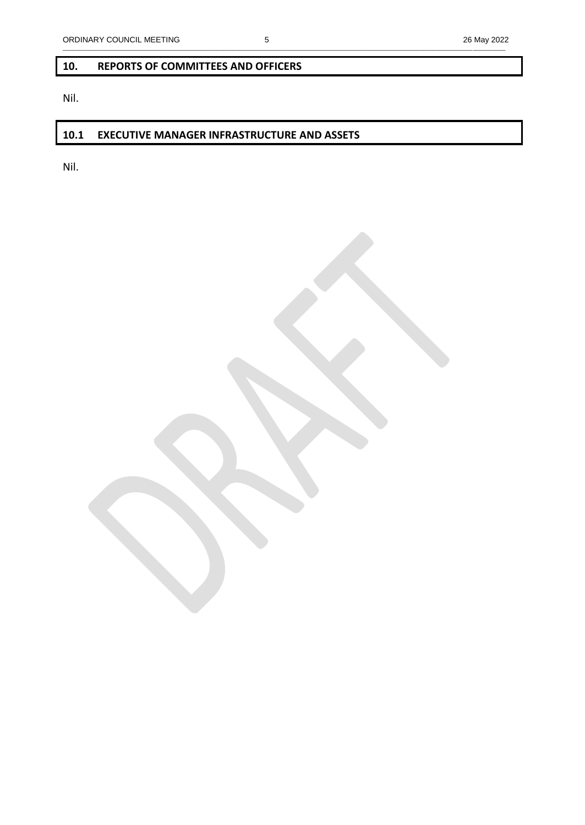# \_\_\_\_\_\_\_\_\_\_\_\_\_\_\_\_\_\_\_\_\_\_\_\_\_\_\_\_\_\_\_\_\_\_\_\_\_\_\_\_\_\_\_\_\_\_\_\_\_\_\_\_\_\_\_\_\_\_\_\_\_\_\_\_\_\_\_\_\_\_\_\_\_\_\_\_\_\_\_\_\_\_\_\_\_\_\_\_\_\_\_\_\_\_\_\_\_\_\_\_\_\_\_\_\_\_\_\_\_\_\_\_\_\_\_\_\_\_\_\_\_\_\_\_\_\_\_\_\_\_\_\_\_\_\_

## **10. REPORTS OF COMMITTEES AND OFFICERS**

Nil.

## **10.1 EXECUTIVE MANAGER INFRASTRUCTURE AND ASSETS**

Nil.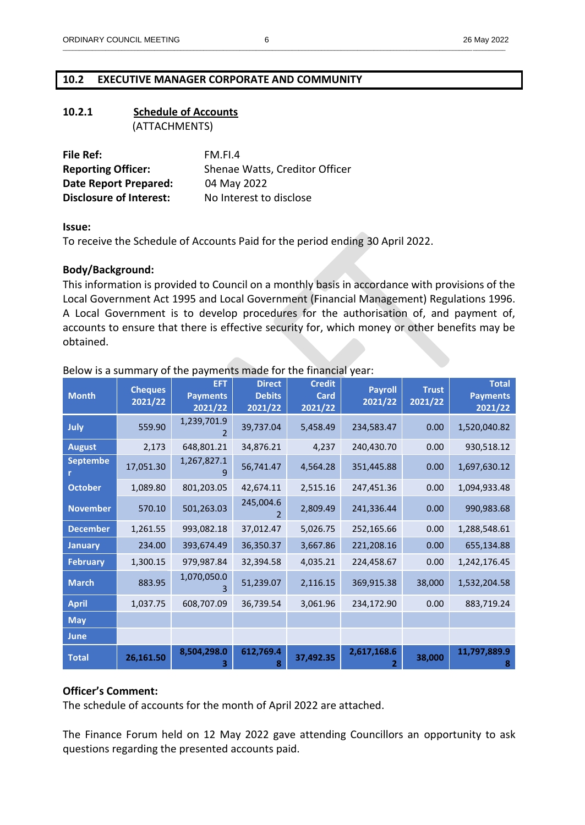## **10.2 EXECUTIVE MANAGER CORPORATE AND COMMUNITY**

#### **10.2.1 Schedule of Accounts** (ATTACHMENTS)

| File Ref:                      | FM.FL4                         |
|--------------------------------|--------------------------------|
| <b>Reporting Officer:</b>      | Shenae Watts, Creditor Officer |
| <b>Date Report Prepared:</b>   | 04 May 2022                    |
| <b>Disclosure of Interest:</b> | No Interest to disclose        |

#### **Issue:**

To receive the Schedule of Accounts Paid for the period ending 30 April 2022.

## **Body/Background:**

This information is provided to Council on a monthly basis in accordance with provisions of the Local Government Act 1995 and Local Government (Financial Management) Regulations 1996. A Local Government is to develop procedures for the authorisation of, and payment of, accounts to ensure that there is effective security for, which money or other benefits may be obtained.

| <b>Month</b>    | <b>Cheques</b><br>2021/22 | <b>EFT</b><br><b>Payments</b><br>2021/22 | <b>Direct</b><br><b>Debits</b><br>2021/22 | <b>Credit</b><br>Card<br>2021/22 | <b>Payroll</b><br>2021/22 | <b>Trust</b><br>2021/22 | <b>Total</b><br><b>Payments</b><br>2021/22 |
|-----------------|---------------------------|------------------------------------------|-------------------------------------------|----------------------------------|---------------------------|-------------------------|--------------------------------------------|
| July            | 559.90                    | 1,239,701.9                              | 39,737.04                                 | 5,458.49                         | 234,583.47                | 0.00                    | 1,520,040.82                               |
| <b>August</b>   | 2,173                     | 648,801.21                               | 34,876.21                                 | 4,237                            | 240,430.70                | 0.00                    | 930,518.12                                 |
| <b>Septembe</b> | 17,051.30                 | 1,267,827.1                              | 56,741.47                                 | 4,564.28                         | 351,445.88                | 0.00                    | 1,697,630.12                               |
| <b>October</b>  | 1,089.80                  | 801,203.05                               | 42,674.11                                 | 2,515.16                         | 247,451.36                | 0.00                    | 1,094,933.48                               |
| <b>November</b> | 570.10                    | 501,263.03                               | 245,004.6                                 | 2,809.49                         | 241,336.44                | 0.00                    | 990,983.68                                 |
| <b>December</b> | 1,261.55                  | 993,082.18                               | 37,012.47                                 | 5,026.75                         | 252,165.66                | 0.00                    | 1,288,548.61                               |
| <b>January</b>  | 234.00                    | 393,674.49                               | 36,350.37                                 | 3,667.86                         | 221,208.16                | 0.00                    | 655,134.88                                 |
| <b>February</b> | 1,300.15                  | 979,987.84                               | 32,394.58                                 | 4,035.21                         | 224,458.67                | 0.00                    | 1,242,176.45                               |
| <b>March</b>    | 883.95                    | 1,070,050.0                              | 51,239.07                                 | 2,116.15                         | 369,915.38                | 38,000                  | 1,532,204.58                               |
| <b>April</b>    | 1,037.75                  | 608,707.09                               | 36,739.54                                 | 3,061.96                         | 234,172.90                | 0.00                    | 883,719.24                                 |
| <b>May</b>      |                           |                                          |                                           |                                  |                           |                         |                                            |
| <b>June</b>     |                           |                                          |                                           |                                  |                           |                         |                                            |
| <b>Total</b>    | 26,161.50                 | 8,504,298.0                              | 612,769.4<br>8                            | 37,492.35                        | 2,617,168.6               | 38,000                  | 11,797,889.9<br>8                          |

## Below is a summary of the payments made for the financial year:

#### **Officer's Comment:**

The schedule of accounts for the month of April 2022 are attached.

The Finance Forum held on 12 May 2022 gave attending Councillors an opportunity to ask questions regarding the presented accounts paid.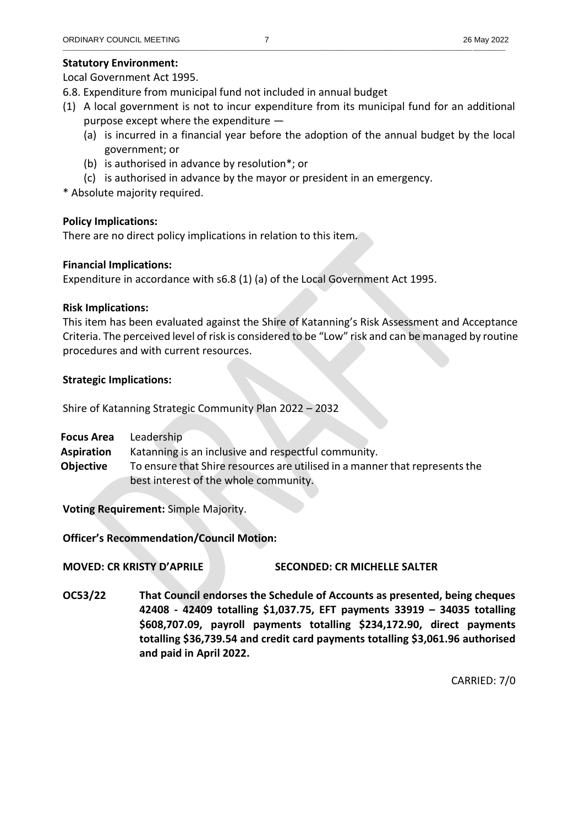Local Government Act 1995.

- 6.8. Expenditure from municipal fund not included in annual budget
- (1) A local government is not to incur expenditure from its municipal fund for an additional purpose except where the expenditure —
	- (a) is incurred in a financial year before the adoption of the annual budget by the local government; or
	- (b) is authorised in advance by resolution\*; or
	- (c) is authorised in advance by the mayor or president in an emergency.

\* Absolute majority required.

## **Policy Implications:**

There are no direct policy implications in relation to this item.

## **Financial Implications:**

Expenditure in accordance with s6.8 (1) (a) of the Local Government Act 1995.

## **Risk Implications:**

This item has been evaluated against the Shire of Katanning's Risk Assessment and Acceptance Criteria. The perceived level of risk is considered to be "Low" risk and can be managed by routine procedures and with current resources.

## **Strategic Implications:**

Shire of Katanning Strategic Community Plan 2022 – 2032

| <b>Focus Area</b> | Leadership                                                                  |
|-------------------|-----------------------------------------------------------------------------|
| <b>Aspiration</b> | Katanning is an inclusive and respectful community.                         |
| Obiective         | To ensure that Shire resources are utilised in a manner that represents the |
|                   | best interest of the whole community.                                       |

**Voting Requirement:** Simple Majority.

# **Officer's Recommendation/Council Motion:**

## **MOVED: CR KRISTY D'APRILE SECONDED: CR MICHELLE SALTER**

**OC53/22 That Council endorses the Schedule of Accounts as presented, being cheques 42408 - 42409 totalling \$1,037.75, EFT payments 33919 – 34035 totalling \$608,707.09, payroll payments totalling \$234,172.90, direct payments totalling \$36,739.54 and credit card payments totalling \$3,061.96 authorised and paid in April 2022.**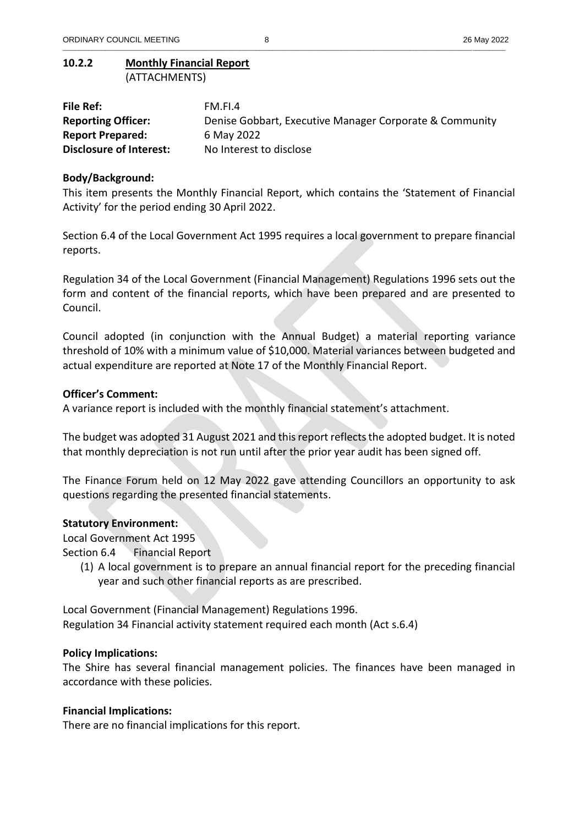## **10.2.2 Monthly Financial Report** (ATTACHMENTS)

| File Ref:                      | FM.FI.4                                                 |
|--------------------------------|---------------------------------------------------------|
| <b>Reporting Officer:</b>      | Denise Gobbart, Executive Manager Corporate & Community |
| <b>Report Prepared:</b>        | 6 May 2022                                              |
| <b>Disclosure of Interest:</b> | No Interest to disclose                                 |

# **Body/Background:**

This item presents the Monthly Financial Report, which contains the 'Statement of Financial Activity' for the period ending 30 April 2022.

Section 6.4 of the Local Government Act 1995 requires a local government to prepare financial reports.

Regulation 34 of the Local Government (Financial Management) Regulations 1996 sets out the form and content of the financial reports, which have been prepared and are presented to Council.

Council adopted (in conjunction with the Annual Budget) a material reporting variance threshold of 10% with a minimum value of \$10,000. Material variances between budgeted and actual expenditure are reported at Note 17 of the Monthly Financial Report.

## **Officer's Comment:**

A variance report is included with the monthly financial statement's attachment.

The budget was adopted 31 August 2021 and this report reflects the adopted budget. It is noted that monthly depreciation is not run until after the prior year audit has been signed off.

The Finance Forum held on 12 May 2022 gave attending Councillors an opportunity to ask questions regarding the presented financial statements.

## **Statutory Environment:**

Local Government Act 1995

Section 6.4 Financial Report

(1) A local government is to prepare an annual financial report for the preceding financial year and such other financial reports as are prescribed.

Local Government (Financial Management) Regulations 1996. Regulation 34 Financial activity statement required each month (Act s.6.4)

## **Policy Implications:**

The Shire has several financial management policies. The finances have been managed in accordance with these policies.

## **Financial Implications:**

There are no financial implications for this report.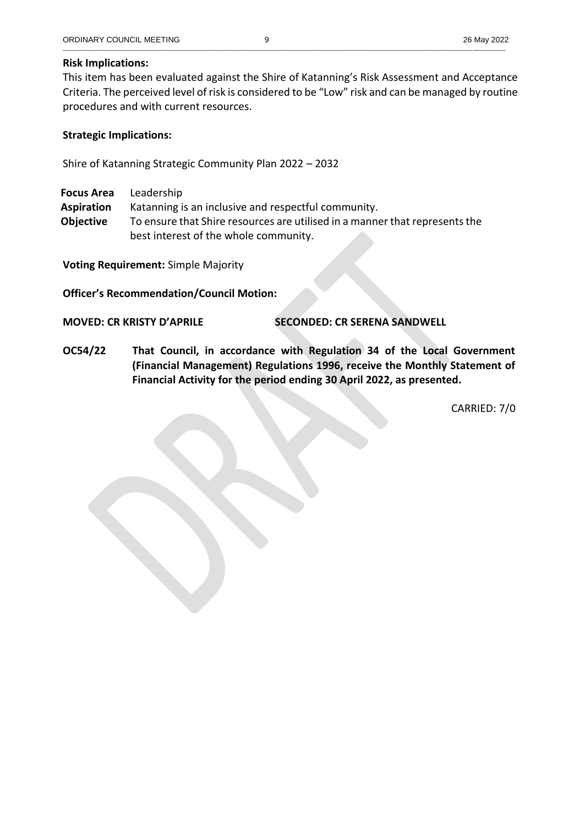## **Risk Implications:**

This item has been evaluated against the Shire of Katanning's Risk Assessment and Acceptance Criteria. The perceived level of risk is considered to be "Low" risk and can be managed by routine procedures and with current resources.

## **Strategic Implications:**

Shire of Katanning Strategic Community Plan 2022 – 2032

**Focus Area** Leadership

**Aspiration** Katanning is an inclusive and respectful community.

**Objective** To ensure that Shire resources are utilised in a manner that represents the best interest of the whole community.

**Voting Requirement:** Simple Majority

**Officer's Recommendation/Council Motion:**

**MOVED: CR KRISTY D'APRILE SECONDED: CR SERENA SANDWELL**

**OC54/22 That Council, in accordance with Regulation 34 of the Local Government (Financial Management) Regulations 1996, receive the Monthly Statement of Financial Activity for the period ending 30 April 2022, as presented.**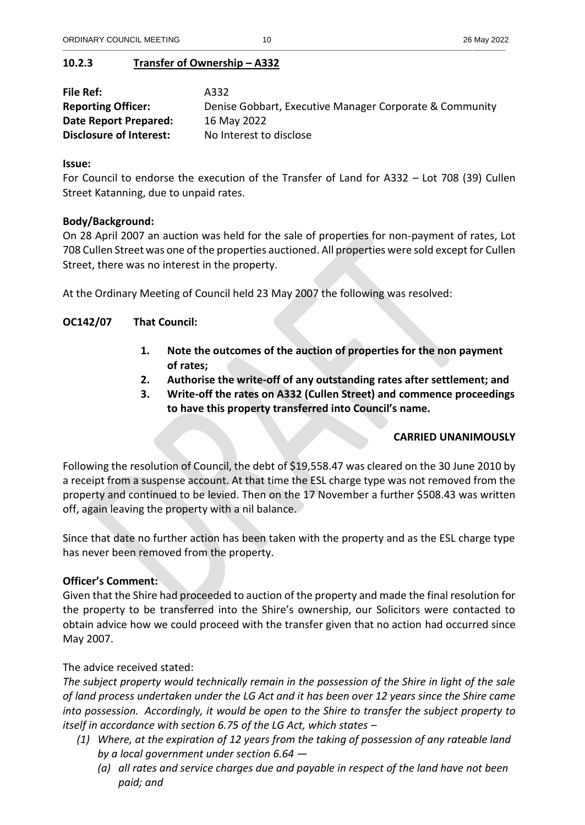## **10.2.3 Transfer of Ownership – A332**

| File Ref:                      | A332                                                    |
|--------------------------------|---------------------------------------------------------|
| <b>Reporting Officer:</b>      | Denise Gobbart, Executive Manager Corporate & Community |
| Date Report Prepared:          | 16 May 2022                                             |
| <b>Disclosure of Interest:</b> | No Interest to disclose                                 |

\_\_\_\_\_\_\_\_\_\_\_\_\_\_\_\_\_\_\_\_\_\_\_\_\_\_\_\_\_\_\_\_\_\_\_\_\_\_\_\_\_\_\_\_\_\_\_\_\_\_\_\_\_\_\_\_\_\_\_\_\_\_\_\_\_\_\_\_\_\_\_\_\_\_\_\_\_\_\_\_\_\_\_\_\_\_\_\_\_\_\_\_\_\_\_\_\_\_\_\_\_\_\_\_\_\_\_\_\_\_\_\_\_\_\_\_\_\_\_\_\_\_\_\_\_\_\_\_\_\_\_\_\_\_\_

#### **Issue:**

For Council to endorse the execution of the Transfer of Land for A332 – Lot 708 (39) Cullen Street Katanning, due to unpaid rates.

## **Body/Background:**

On 28 April 2007 an auction was held for the sale of properties for non-payment of rates, Lot 708 Cullen Street was one of the properties auctioned. All properties were sold except for Cullen Street, there was no interest in the property.

At the Ordinary Meeting of Council held 23 May 2007 the following was resolved:

## **OC142/07 That Council:**

- **1. Note the outcomes of the auction of properties for the non payment of rates;**
- **2. Authorise the write-off of any outstanding rates after settlement; and**
- **3. Write-off the rates on A332 (Cullen Street) and commence proceedings to have this property transferred into Council's name.**

## **CARRIED UNANIMOUSLY**

Following the resolution of Council, the debt of \$19,558.47 was cleared on the 30 June 2010 by a receipt from a suspense account. At that time the ESL charge type was not removed from the property and continued to be levied. Then on the 17 November a further \$508.43 was written off, again leaving the property with a nil balance.

Since that date no further action has been taken with the property and as the ESL charge type has never been removed from the property.

## **Officer's Comment:**

Given that the Shire had proceeded to auction of the property and made the final resolution for the property to be transferred into the Shire's ownership, our Solicitors were contacted to obtain advice how we could proceed with the transfer given that no action had occurred since May 2007.

The advice received stated:

*The subject property would technically remain in the possession of the Shire in light of the sale of land process undertaken under the LG Act and it has been over 12 years since the Shire came into possession. Accordingly, it would be open to the Shire to transfer the subject property to itself in accordance with section 6.75 of the LG Act, which states –*

- *(1) Where, at the expiration of 12 years from the taking of possession of any rateable land by a local government under section 6.64 —*
	- *(a) all rates and service charges due and payable in respect of the land have not been paid; and*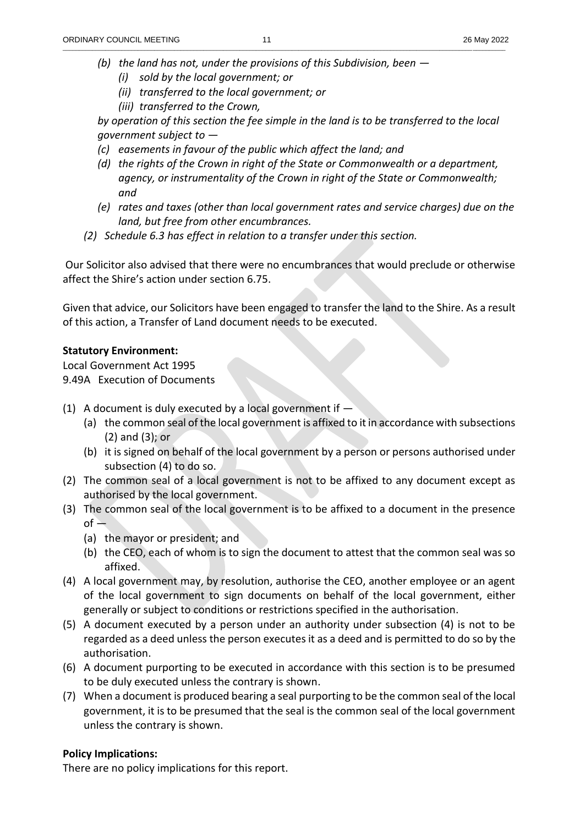- *(b) the land has not, under the provisions of this Subdivision, been —*
	- *(i) sold by the local government; or*
	- *(ii) transferred to the local government; or*
	- *(iii) transferred to the Crown,*

*by operation of this section the fee simple in the land is to be transferred to the local government subject to —*

- *(c) easements in favour of the public which affect the land; and*
- *(d) the rights of the Crown in right of the State or Commonwealth or a department, agency, or instrumentality of the Crown in right of the State or Commonwealth; and*
- *(e) rates and taxes (other than local government rates and service charges) due on the land, but free from other encumbrances.*
- *(2) Schedule 6.3 has effect in relation to a transfer under this section.*

Our Solicitor also advised that there were no encumbrances that would preclude or otherwise affect the Shire's action under section 6.75.

Given that advice, our Solicitors have been engaged to transfer the land to the Shire. As a result of this action, a Transfer of Land document needs to be executed.

## **Statutory Environment:**

Local Government Act 1995 9.49A Execution of Documents

- (1) A document is duly executed by a local government if  $-$ 
	- (a) the common seal of the local government is affixed to it in accordance with subsections (2) and (3); or
	- (b) it is signed on behalf of the local government by a person or persons authorised under subsection (4) to do so.
- (2) The common seal of a local government is not to be affixed to any document except as authorised by the local government.
- (3) The common seal of the local government is to be affixed to a document in the presence  $of -$ 
	- (a) the mayor or president; and
	- (b) the CEO, each of whom is to sign the document to attest that the common seal was so affixed.
- (4) A local government may, by resolution, authorise the CEO, another employee or an agent of the local government to sign documents on behalf of the local government, either generally or subject to conditions or restrictions specified in the authorisation.
- (5) A document executed by a person under an authority under subsection (4) is not to be regarded as a deed unless the person executes it as a deed and is permitted to do so by the authorisation.
- (6) A document purporting to be executed in accordance with this section is to be presumed to be duly executed unless the contrary is shown.
- (7) When a document is produced bearing a seal purporting to be the common seal of the local government, it is to be presumed that the seal is the common seal of the local government unless the contrary is shown.

## **Policy Implications:**

There are no policy implications for this report.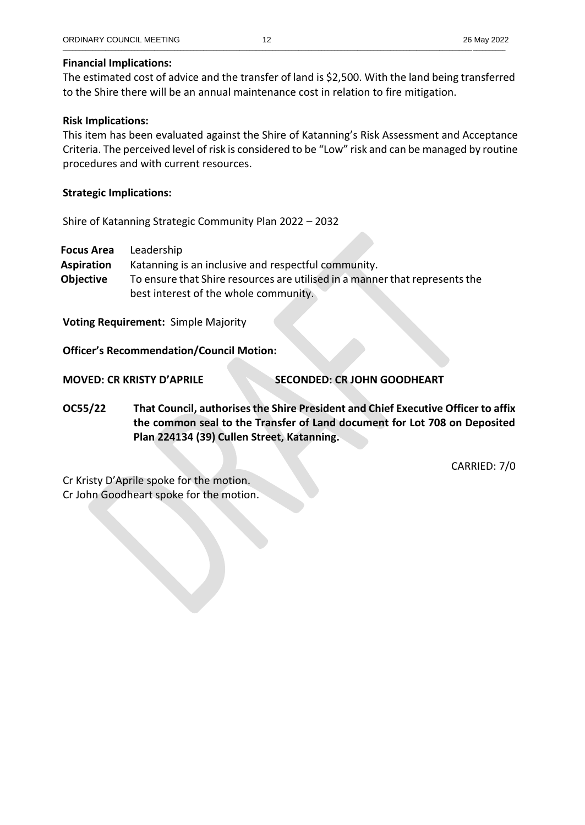#### **Financial Implications:**

The estimated cost of advice and the transfer of land is \$2,500. With the land being transferred to the Shire there will be an annual maintenance cost in relation to fire mitigation.

#### **Risk Implications:**

This item has been evaluated against the Shire of Katanning's Risk Assessment and Acceptance Criteria. The perceived level of risk is considered to be "Low" risk and can be managed by routine procedures and with current resources.

#### **Strategic Implications:**

Shire of Katanning Strategic Community Plan 2022 – 2032

**Focus Area** Leadership **Aspiration** Katanning is an inclusive and respectful community. **Objective** To ensure that Shire resources are utilised in a manner that represents the best interest of the whole community.

**Voting Requirement:** Simple Majority

**Officer's Recommendation/Council Motion:**

**MOVED: CR KRISTY D'APRILE SECONDED: CR JOHN GOODHEART**

**OC55/22 That Council, authorisesthe Shire President and Chief Executive Officer to affix the common seal to the Transfer of Land document for Lot 708 on Deposited Plan 224134 (39) Cullen Street, Katanning.** 

CARRIED: 7/0

Cr Kristy D'Aprile spoke for the motion. Cr John Goodheart spoke for the motion.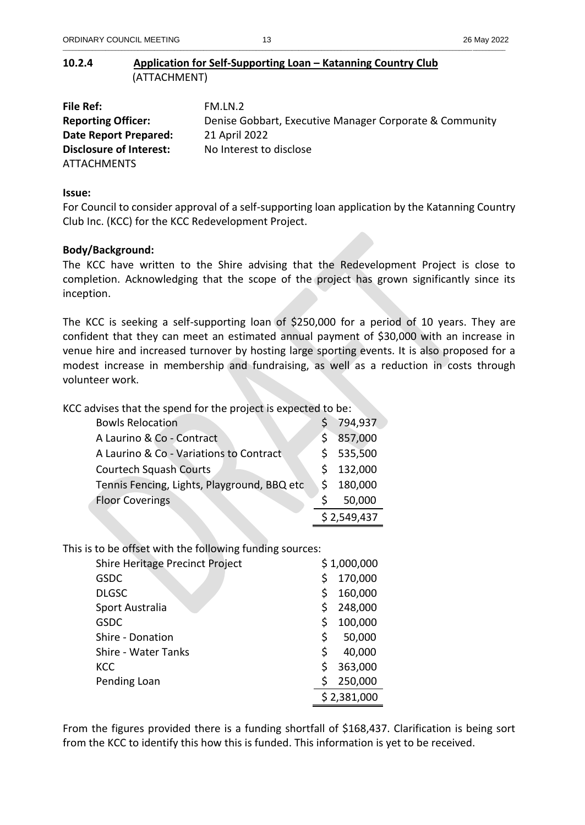**10.2.4 Application for Self-Supporting Loan – Katanning Country Club** (ATTACHMENT)

| File Ref:                      | FM.LN.2                                                 |
|--------------------------------|---------------------------------------------------------|
| <b>Reporting Officer:</b>      | Denise Gobbart, Executive Manager Corporate & Community |
| Date Report Prepared:          | 21 April 2022                                           |
| <b>Disclosure of Interest:</b> | No Interest to disclose                                 |
| <b>ATTACHMENTS</b>             |                                                         |

#### **Issue:**

For Council to consider approval of a self-supporting loan application by the Katanning Country Club Inc. (KCC) for the KCC Redevelopment Project.

#### **Body/Background:**

The KCC have written to the Shire advising that the Redevelopment Project is close to completion. Acknowledging that the scope of the project has grown significantly since its inception.

The KCC is seeking a self-supporting loan of \$250,000 for a period of 10 years. They are confident that they can meet an estimated annual payment of \$30,000 with an increase in venue hire and increased turnover by hosting large sporting events. It is also proposed for a modest increase in membership and fundraising, as well as a reduction in costs through volunteer work.

KCC advises that the spend for the project is expected to be:

| <b>Bowls Relocation</b>                     |    | 794,937     |
|---------------------------------------------|----|-------------|
| A Laurino & Co - Contract                   |    | 857,000     |
| A Laurino & Co - Variations to Contract     |    | \$535,500   |
| <b>Courtech Squash Courts</b>               |    | 132,000     |
| Tennis Fencing, Lights, Playground, BBQ etc | Ŝ. | 180,000     |
| <b>Floor Coverings</b>                      |    | 50,000      |
|                                             |    | \$2,549,437 |

This is to be offset with the following funding sources:

| Shire Heritage Precinct Project |    | \$1,000,000 |
|---------------------------------|----|-------------|
| <b>GSDC</b>                     | Ś  | 170,000     |
| <b>DLGSC</b>                    | Ś  | 160,000     |
| Sport Australia                 | Ś  | 248,000     |
| <b>GSDC</b>                     | \$ | 100,000     |
| Shire - Donation                | \$ | 50,000      |
| <b>Shire - Water Tanks</b>      | \$ | 40,000      |
| <b>KCC</b>                      | Ś  | 363,000     |
| Pending Loan                    |    | 250,000     |
|                                 |    | \$2,381,000 |

From the figures provided there is a funding shortfall of \$168,437. Clarification is being sort from the KCC to identify this how this is funded. This information is yet to be received.

\_\_\_\_\_\_\_\_\_\_\_\_\_\_\_\_\_\_\_\_\_\_\_\_\_\_\_\_\_\_\_\_\_\_\_\_\_\_\_\_\_\_\_\_\_\_\_\_\_\_\_\_\_\_\_\_\_\_\_\_\_\_\_\_\_\_\_\_\_\_\_\_\_\_\_\_\_\_\_\_\_\_\_\_\_\_\_\_\_\_\_\_\_\_\_\_\_\_\_\_\_\_\_\_\_\_\_\_\_\_\_\_\_\_\_\_\_\_\_\_\_\_\_\_\_\_\_\_\_\_\_\_\_\_\_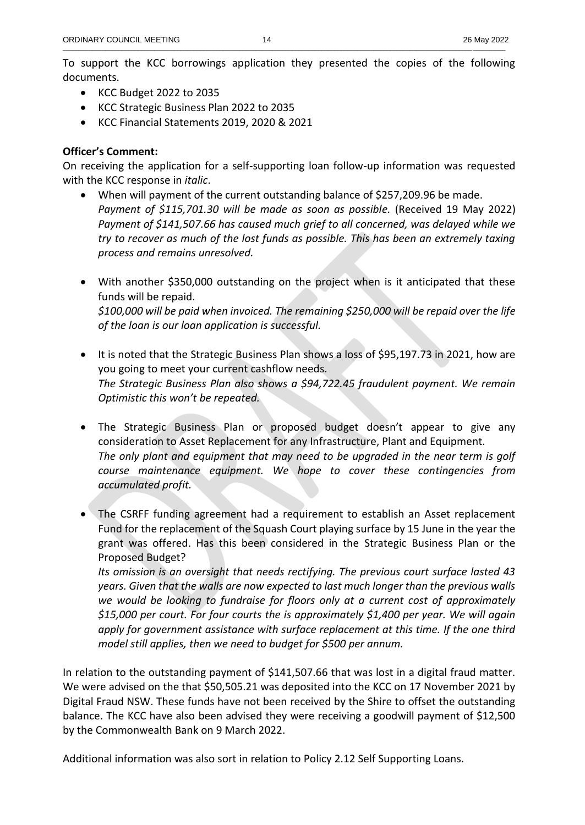To support the KCC borrowings application they presented the copies of the following documents.

- KCC Budget 2022 to 2035
- KCC Strategic Business Plan 2022 to 2035
- KCC Financial Statements 2019, 2020 & 2021

## **Officer's Comment:**

On receiving the application for a self-supporting loan follow-up information was requested with the KCC response in *italic*.

- When will payment of the current outstanding balance of \$257,209.96 be made. *Payment of \$115,701.30 will be made as soon as possible.* (Received 19 May 2022) *Payment of \$141,507.66 has caused much grief to all concerned, was delayed while we try to recover as much of the lost funds as possible. This has been an extremely taxing process and remains unresolved.*
- With another \$350,000 outstanding on the project when is it anticipated that these funds will be repaid. *\$100,000 will be paid when invoiced. The remaining \$250,000 will be repaid over the life of the loan is our loan application is successful.*
- It is noted that the Strategic Business Plan shows a loss of \$95,197.73 in 2021, how are you going to meet your current cashflow needs. *The Strategic Business Plan also shows a \$94,722.45 fraudulent payment. We remain Optimistic this won't be repeated.*
- The Strategic Business Plan or proposed budget doesn't appear to give any consideration to Asset Replacement for any Infrastructure, Plant and Equipment. *The only plant and equipment that may need to be upgraded in the near term is golf course maintenance equipment. We hope to cover these contingencies from accumulated profit.*
- The CSRFF funding agreement had a requirement to establish an Asset replacement Fund for the replacement of the Squash Court playing surface by 15 June in the year the grant was offered. Has this been considered in the Strategic Business Plan or the Proposed Budget?

*Its omission is an oversight that needs rectifying. The previous court surface lasted 43 years. Given that the walls are now expected to last much longer than the previous walls we would be looking to fundraise for floors only at a current cost of approximately \$15,000 per court. For four courts the is approximately \$1,400 per year. We will again apply for government assistance with surface replacement at this time. If the one third model still applies, then we need to budget for \$500 per annum.* 

In relation to the outstanding payment of \$141,507.66 that was lost in a digital fraud matter. We were advised on the that \$50,505.21 was deposited into the KCC on 17 November 2021 by Digital Fraud NSW. These funds have not been received by the Shire to offset the outstanding balance. The KCC have also been advised they were receiving a goodwill payment of \$12,500 by the Commonwealth Bank on 9 March 2022.

Additional information was also sort in relation to Policy 2.12 Self Supporting Loans.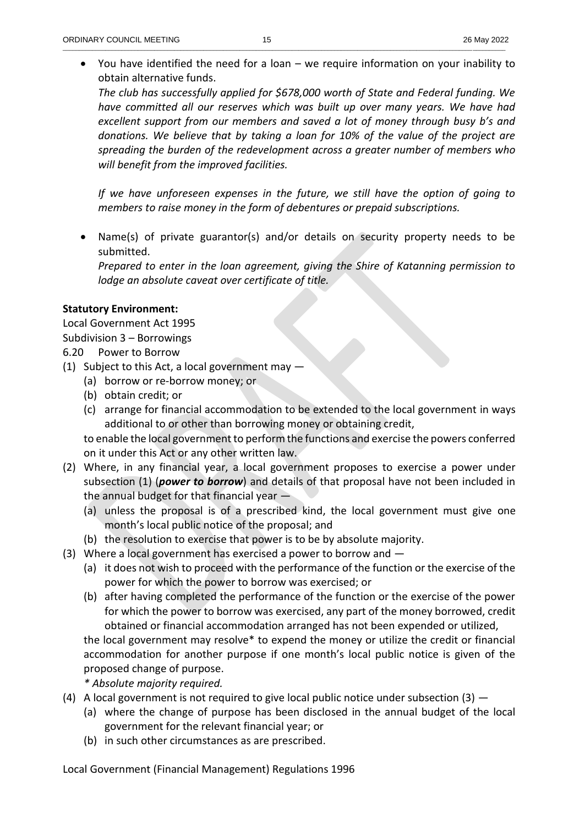• You have identified the need for a loan – we require information on your inability to obtain alternative funds.

*The club has successfully applied for \$678,000 worth of State and Federal funding. We have committed all our reserves which was built up over many years. We have had excellent support from our members and saved a lot of money through busy b's and donations. We believe that by taking a loan for 10% of the value of the project are spreading the burden of the redevelopment across a greater number of members who will benefit from the improved facilities.*

*If we have unforeseen expenses in the future, we still have the option of going to members to raise money in the form of debentures or prepaid subscriptions.*

• Name(s) of private guarantor(s) and/or details on security property needs to be submitted.

*Prepared to enter in the loan agreement, giving the Shire of Katanning permission to lodge an absolute caveat over certificate of title.*

## **Statutory Environment:**

Local Government Act 1995 Subdivision 3 – Borrowings 6.20 Power to Borrow

- (1) Subject to this Act, a local government may
	- (a) borrow or re-borrow money; or
	- (b) obtain credit; or
	- (c) arrange for financial accommodation to be extended to the local government in ways additional to or other than borrowing money or obtaining credit,

to enable the local government to perform the functions and exercise the powers conferred on it under this Act or any other written law.

- (2) Where, in any financial year, a local government proposes to exercise a power under subsection (1) (*power to borrow*) and details of that proposal have not been included in the annual budget for that financial year —
	- (a) unless the proposal is of a prescribed kind, the local government must give one month's local public notice of the proposal; and
	- (b) the resolution to exercise that power is to be by absolute majority.
- (3) Where a local government has exercised a power to borrow and
	- (a) it does not wish to proceed with the performance of the function or the exercise of the power for which the power to borrow was exercised; or
	- (b) after having completed the performance of the function or the exercise of the power for which the power to borrow was exercised, any part of the money borrowed, credit obtained or financial accommodation arranged has not been expended or utilized,

the local government may resolve\* to expend the money or utilize the credit or financial accommodation for another purpose if one month's local public notice is given of the proposed change of purpose.

*\* Absolute majority required.* 

- (4) A local government is not required to give local public notice under subsection (3)  $-$ 
	- (a) where the change of purpose has been disclosed in the annual budget of the local government for the relevant financial year; or
	- (b) in such other circumstances as are prescribed.

Local Government (Financial Management) Regulations 1996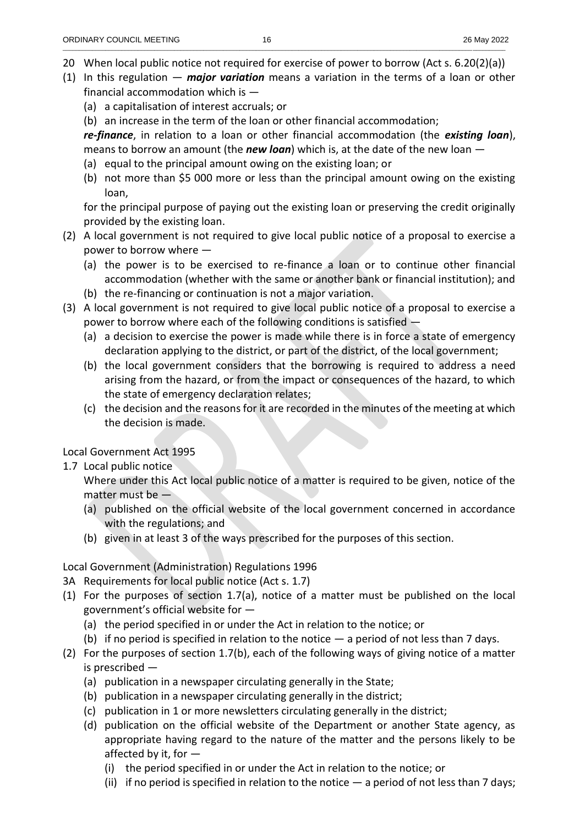- 20 When local public notice not required for exercise of power to borrow (Act s. 6.20(2)(a))
- (1) In this regulation *major variation* means a variation in the terms of a loan or other financial accommodation which is —
	- (a) a capitalisation of interest accruals; or
	- (b) an increase in the term of the loan or other financial accommodation;

*re-finance*, in relation to a loan or other financial accommodation (the *existing loan*), means to borrow an amount (the *new loan*) which is, at the date of the new loan —

- (a) equal to the principal amount owing on the existing loan; or
- (b) not more than \$5 000 more or less than the principal amount owing on the existing loan,

for the principal purpose of paying out the existing loan or preserving the credit originally provided by the existing loan.

- (2) A local government is not required to give local public notice of a proposal to exercise a power to borrow where —
	- (a) the power is to be exercised to re-finance a loan or to continue other financial accommodation (whether with the same or another bank or financial institution); and
	- (b) the re-financing or continuation is not a major variation.
- (3) A local government is not required to give local public notice of a proposal to exercise a power to borrow where each of the following conditions is satisfied —
	- (a) a decision to exercise the power is made while there is in force a state of emergency declaration applying to the district, or part of the district, of the local government;
	- (b) the local government considers that the borrowing is required to address a need arising from the hazard, or from the impact or consequences of the hazard, to which the state of emergency declaration relates;
	- (c) the decision and the reasons for it are recorded in the minutes of the meeting at which the decision is made.

# Local Government Act 1995

1.7 Local public notice

Where under this Act local public notice of a matter is required to be given, notice of the matter must be —

- (a) published on the official website of the local government concerned in accordance with the regulations; and
- (b) given in at least 3 of the ways prescribed for the purposes of this section.

# Local Government (Administration) Regulations 1996

- 3A Requirements for local public notice (Act s. 1.7)
- (1) For the purposes of section 1.7(a), notice of a matter must be published on the local government's official website for —
	- (a) the period specified in or under the Act in relation to the notice; or
	- (b) if no period is specified in relation to the notice  $-$  a period of not less than 7 days.
- (2) For the purposes of section 1.7(b), each of the following ways of giving notice of a matter is prescribed —
	- (a) publication in a newspaper circulating generally in the State;
	- (b) publication in a newspaper circulating generally in the district;
	- (c) publication in 1 or more newsletters circulating generally in the district;
	- (d) publication on the official website of the Department or another State agency, as appropriate having regard to the nature of the matter and the persons likely to be affected by it, for —
		- (i) the period specified in or under the Act in relation to the notice; or
		- (ii) if no period is specified in relation to the notice a period of not less than 7 days;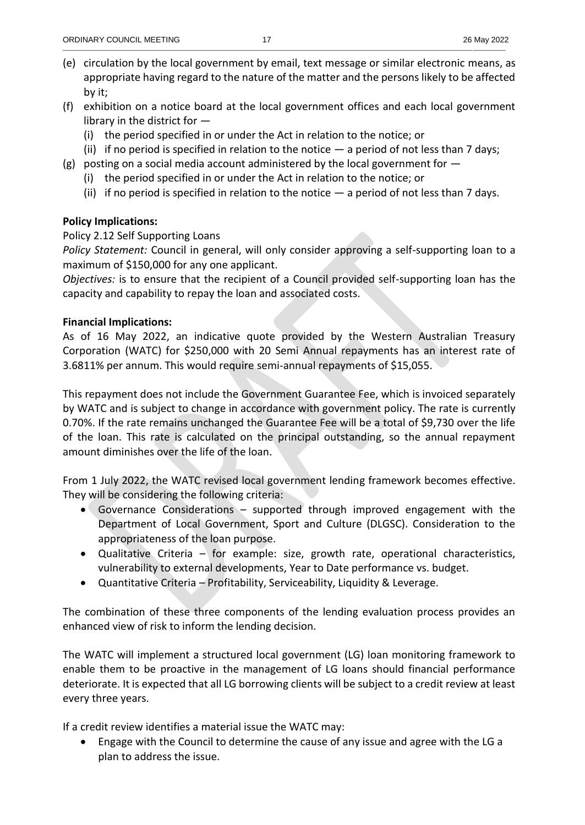- (e) circulation by the local government by email, text message or similar electronic means, as appropriate having regard to the nature of the matter and the persons likely to be affected by it;
- (f) exhibition on a notice board at the local government offices and each local government library in the district for —
	- (i) the period specified in or under the Act in relation to the notice; or
	- (ii) if no period is specified in relation to the notice  $-$  a period of not less than 7 days;
- $(g)$  posting on a social media account administered by the local government for  $-$ 
	- (i) the period specified in or under the Act in relation to the notice; or
	- (ii) if no period is specified in relation to the notice  $-$  a period of not less than 7 days.

## **Policy Implications:**

## Policy 2.12 Self Supporting Loans

*Policy Statement:* Council in general, will only consider approving a self-supporting loan to a maximum of \$150,000 for any one applicant.

*Objectives:* is to ensure that the recipient of a Council provided self-supporting loan has the capacity and capability to repay the loan and associated costs.

## **Financial Implications:**

As of 16 May 2022, an indicative quote provided by the Western Australian Treasury Corporation (WATC) for \$250,000 with 20 Semi Annual repayments has an interest rate of 3.6811% per annum. This would require semi-annual repayments of \$15,055.

This repayment does not include the Government Guarantee Fee, which is invoiced separately by WATC and is subject to change in accordance with government policy. The rate is currently 0.70%. If the rate remains unchanged the Guarantee Fee will be a total of \$9,730 over the life of the loan. This rate is calculated on the principal outstanding, so the annual repayment amount diminishes over the life of the loan.

From 1 July 2022, the WATC revised local government lending framework becomes effective. They will be considering the following criteria:

- Governance Considerations supported through improved engagement with the Department of Local Government, Sport and Culture (DLGSC). Consideration to the appropriateness of the loan purpose.
- Qualitative Criteria for example: size, growth rate, operational characteristics, vulnerability to external developments, Year to Date performance vs. budget.
- Quantitative Criteria Profitability, Serviceability, Liquidity & Leverage.

The combination of these three components of the lending evaluation process provides an enhanced view of risk to inform the lending decision.

The WATC will implement a structured local government (LG) loan monitoring framework to enable them to be proactive in the management of LG loans should financial performance deteriorate. It is expected that all LG borrowing clients will be subject to a credit review at least every three years.

If a credit review identifies a material issue the WATC may:

• Engage with the Council to determine the cause of any issue and agree with the LG a plan to address the issue.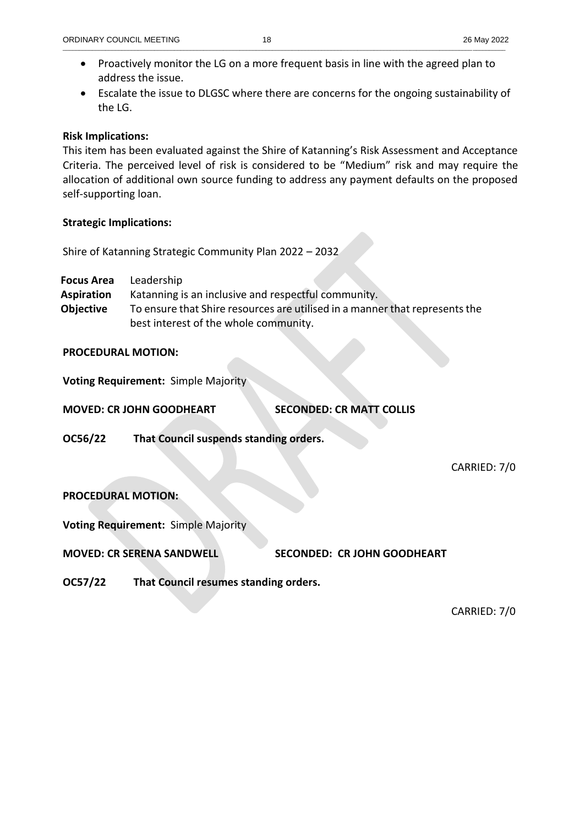- Proactively monitor the LG on a more frequent basis in line with the agreed plan to address the issue.
- Escalate the issue to DLGSC where there are concerns for the ongoing sustainability of the LG.

#### **Risk Implications:**

This item has been evaluated against the Shire of Katanning's Risk Assessment and Acceptance Criteria. The perceived level of risk is considered to be "Medium" risk and may require the allocation of additional own source funding to address any payment defaults on the proposed self-supporting loan.

#### **Strategic Implications:**

Shire of Katanning Strategic Community Plan 2022 – 2032

**Focus Area** Leadership

- **Aspiration** Katanning is an inclusive and respectful community.
- **Objective** To ensure that Shire resources are utilised in a manner that represents the best interest of the whole community.

#### **PROCEDURAL MOTION:**

**Voting Requirement:** Simple Majority

**MOVED: CR JOHN GOODHEART SECONDED: CR MATT COLLIS**

**OC56/22 That Council suspends standing orders.** 

CARRIED: 7/0

## **PROCEDURAL MOTION:**

**Voting Requirement:** Simple Majority

**MOVED: CR SERENA SANDWELL SECONDED: CR JOHN GOODHEART**

**OC57/22 That Council resumes standing orders.**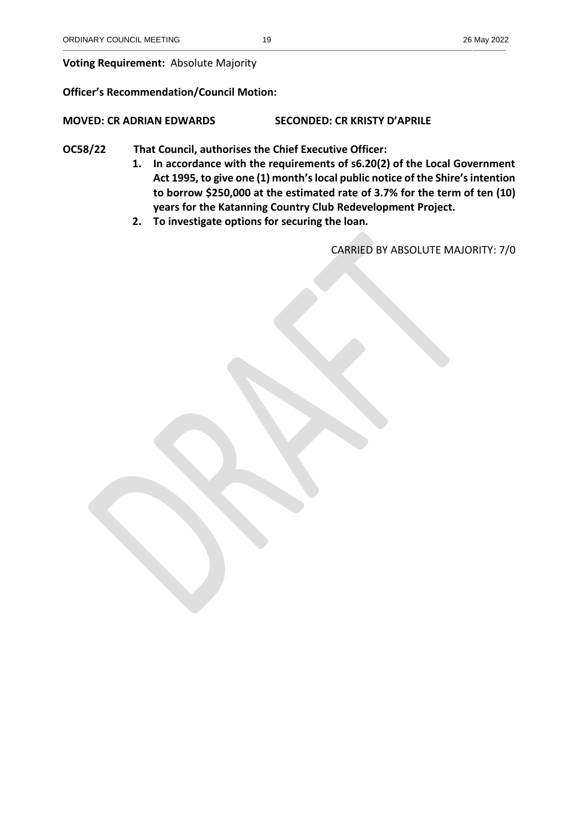## **Voting Requirement:** Absolute Majority

## **Officer's Recommendation/Council Motion:**

## **MOVED: CR ADRIAN EDWARDS SECONDED: CR KRISTY D'APRILE**

## **OC58/22 That Council, authorises the Chief Executive Officer:**

- **1. In accordance with the requirements of s6.20(2) of the Local Government Act 1995, to give one (1) month'slocal public notice of the Shire's intention to borrow \$250,000 at the estimated rate of 3.7% for the term of ten (10) years for the Katanning Country Club Redevelopment Project.**
- **2. To investigate options for securing the loan***.*

CARRIED BY ABSOLUTE MAJORITY: 7/0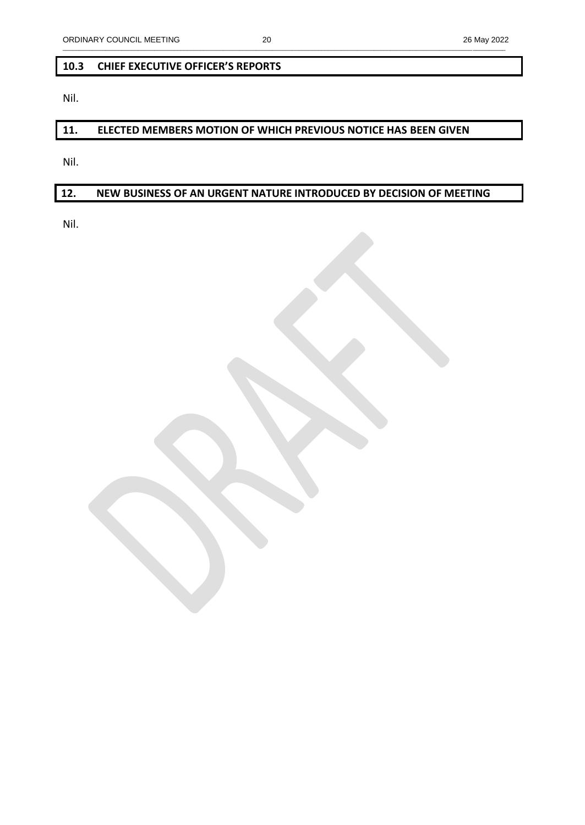## **10.3 CHIEF EXECUTIVE OFFICER'S REPORTS**

Nil.

# **11. ELECTED MEMBERS MOTION OF WHICH PREVIOUS NOTICE HAS BEEN GIVEN**

Nil.

# **12. NEW BUSINESS OF AN URGENT NATURE INTRODUCED BY DECISION OF MEETING**

Nil.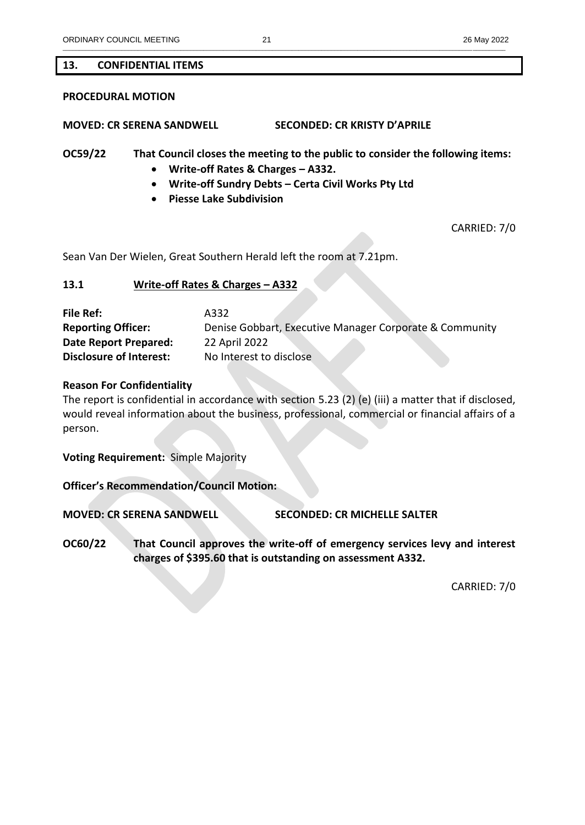#### **13. CONFIDENTIAL ITEMS**

#### **PROCEDURAL MOTION**

**MOVED: CR SERENA SANDWELL SECONDED: CR KRISTY D'APRILE**

**OC59/22 That Council closes the meeting to the public to consider the following items:**

- **Write-off Rates & Charges – A332.**
- **Write-off Sundry Debts – Certa Civil Works Pty Ltd**
- **Piesse Lake Subdivision**

CARRIED: 7/0

Sean Van Der Wielen, Great Southern Herald left the room at 7.21pm.

#### **13.1 Write-off Rates & Charges – A332**

**File Ref:** A332 **Reporting Officer:** Denise Gobbart, Executive Manager Corporate & Community **Date Report Prepared:** 22 April 2022 **Disclosure of Interest:** No Interest to disclose

#### **Reason For Confidentiality**

The report is confidential in accordance with section 5.23 (2) (e) (iii) a matter that if disclosed, would reveal information about the business, professional, commercial or financial affairs of a person.

**Voting Requirement:** Simple Majority

**Officer's Recommendation/Council Motion:** 

**MOVED: CR SERENA SANDWELL SECONDED: CR MICHELLE SALTER**

**OC60/22 That Council approves the write-off of emergency services levy and interest charges of \$395.60 that is outstanding on assessment A332.**

CARRIED: 7/0

\_\_\_\_\_\_\_\_\_\_\_\_\_\_\_\_\_\_\_\_\_\_\_\_\_\_\_\_\_\_\_\_\_\_\_\_\_\_\_\_\_\_\_\_\_\_\_\_\_\_\_\_\_\_\_\_\_\_\_\_\_\_\_\_\_\_\_\_\_\_\_\_\_\_\_\_\_\_\_\_\_\_\_\_\_\_\_\_\_\_\_\_\_\_\_\_\_\_\_\_\_\_\_\_\_\_\_\_\_\_\_\_\_\_\_\_\_\_\_\_\_\_\_\_\_\_\_\_\_\_\_\_\_\_\_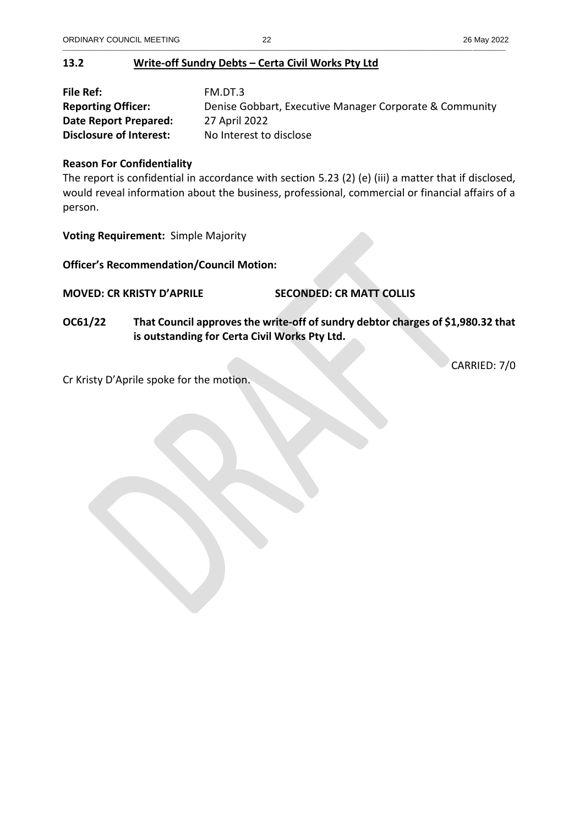# **13.2 Write-off Sundry Debts – Certa Civil Works Pty Ltd**

| File Ref:                      | FM.DT.3                                                 |
|--------------------------------|---------------------------------------------------------|
| <b>Reporting Officer:</b>      | Denise Gobbart, Executive Manager Corporate & Community |
| Date Report Prepared:          | 27 April 2022                                           |
| <b>Disclosure of Interest:</b> | No Interest to disclose                                 |

## **Reason For Confidentiality**

The report is confidential in accordance with section 5.23 (2) (e) (iii) a matter that if disclosed, would reveal information about the business, professional, commercial or financial affairs of a person.

**Voting Requirement:** Simple Majority

**Officer's Recommendation/Council Motion:**

**MOVED: CR KRISTY D'APRILE SECONDED: CR MATT COLLIS**

**OC61/22 That Council approves the write-off of sundry debtor charges of \$1,980.32 that is outstanding for Certa Civil Works Pty Ltd.**

CARRIED: 7/0

Cr Kristy D'Aprile spoke for the motion.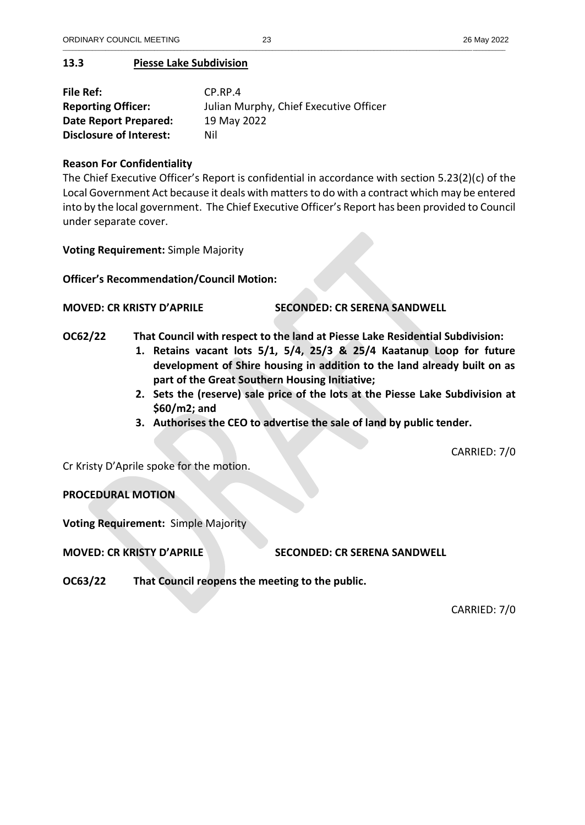\_\_\_\_\_\_\_\_\_\_\_\_\_\_\_\_\_\_\_\_\_\_\_\_\_\_\_\_\_\_\_\_\_\_\_\_\_\_\_\_\_\_\_\_\_\_\_\_\_\_\_\_\_\_\_\_\_\_\_\_\_\_\_\_\_\_\_\_\_\_\_\_\_\_\_\_\_\_\_\_\_\_\_\_\_\_\_\_\_\_\_\_\_\_\_\_\_\_\_\_\_\_\_\_\_\_\_\_\_\_\_\_\_\_\_\_\_\_\_\_\_\_\_\_\_\_\_\_\_\_\_\_\_\_\_

## **13.3 Piesse Lake Subdivision**

| File Ref:                      | $CP$ .RP.4                             |
|--------------------------------|----------------------------------------|
| <b>Reporting Officer:</b>      | Julian Murphy, Chief Executive Officer |
| Date Report Prepared:          | 19 May 2022                            |
| <b>Disclosure of Interest:</b> | Nil                                    |

#### **Reason For Confidentiality**

The Chief Executive Officer's Report is confidential in accordance with section 5.23(2)(c) of the Local Government Act because it deals with matters to do with a contract which may be entered into by the local government. The Chief Executive Officer's Report has been provided to Council under separate cover.

**Voting Requirement:** Simple Majority

**Officer's Recommendation/Council Motion:**

**MOVED: CR KRISTY D'APRILE SECONDED: CR SERENA SANDWELL**

- **OC62/22 That Council with respect to the land at Piesse Lake Residential Subdivision:**
	- **1. Retains vacant lots 5/1, 5/4, 25/3 & 25/4 Kaatanup Loop for future development of Shire housing in addition to the land already built on as part of the Great Southern Housing Initiative;**
	- **2. Sets the (reserve) sale price of the lots at the Piesse Lake Subdivision at \$60/m2; and**
	- **3. Authorises the CEO to advertise the sale of land by public tender.**

CARRIED: 7/0

Cr Kristy D'Aprile spoke for the motion.

**PROCEDURAL MOTION**

**Voting Requirement:** Simple Majority

**MOVED: CR KRISTY D'APRILE SECONDED: CR SERENA SANDWELL**

**OC63/22 That Council reopens the meeting to the public.**